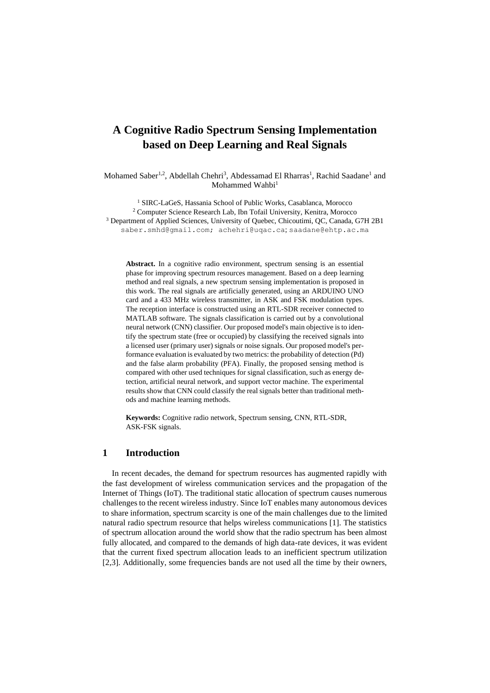# **A Cognitive Radio Spectrum Sensing Implementation based on Deep Learning and Real Signals**

Mohamed Saber<sup>1,2</sup>, Abdellah Chehri<sup>3</sup>, Abdessamad El Rharras<sup>1</sup>, Rachid Saadane<sup>1</sup> and Mohammed Wahbi<sup>1</sup>

 SIRC-LaGeS, Hassania School of Public Works, Casablanca, Morocco Computer Science Research Lab, Ibn Tofail University, Kenitra, Morocco Department of Applied Sciences, University of Quebec, Chicoutimi, QC, Canada, G7H 2B1 [saber.smhd@gmail.com;](mailto:saber.smhd@gmail.com) [achehri@uqac.ca](mailto:achehri@uqac.ca); saadane@ehtp.ac.ma

**Abstract.** In a cognitive radio environment, spectrum sensing is an essential phase for improving spectrum resources management. Based on a deep learning method and real signals, a new spectrum sensing implementation is proposed in this work. The real signals are artificially generated, using an ARDUINO UNO card and a 433 MHz wireless transmitter, in ASK and FSK modulation types. The reception interface is constructed using an RTL-SDR receiver connected to MATLAB software. The signals classification is carried out by a convolutional neural network (CNN) classifier. Our proposed model's main objective is to identify the spectrum state (free or occupied) by classifying the received signals into a licensed user (primary user) signals or noise signals. Our proposed model's performance evaluation is evaluated by two metrics: the probability of detection (Pd) and the false alarm probability (PFA). Finally, the proposed sensing method is compared with other used techniques for signal classification, such as energy detection, artificial neural network, and support vector machine. The experimental results show that CNN could classify the real signals better than traditional methods and machine learning methods.

**Keywords:** Cognitive radio network, Spectrum sensing, CNN, RTL-SDR, ASK-FSK signals.

## **1 Introduction**

In recent decades, the demand for spectrum resources has augmented rapidly with the fast development of wireless communication services and the propagation of the Internet of Things (IoT). The traditional static allocation of spectrum causes numerous challenges to the recent wireless industry. Since IoT enables many autonomous devices to share information, spectrum scarcity is one of the main challenges due to the limited natural radio spectrum resource that helps wireless communications [1]. The statistics of spectrum allocation around the world show that the radio spectrum has been almost fully allocated, and compared to the demands of high data-rate devices, it was evident that the current fixed spectrum allocation leads to an inefficient spectrum utilization [2,3]. Additionally, some frequencies bands are not used all the time by their owners,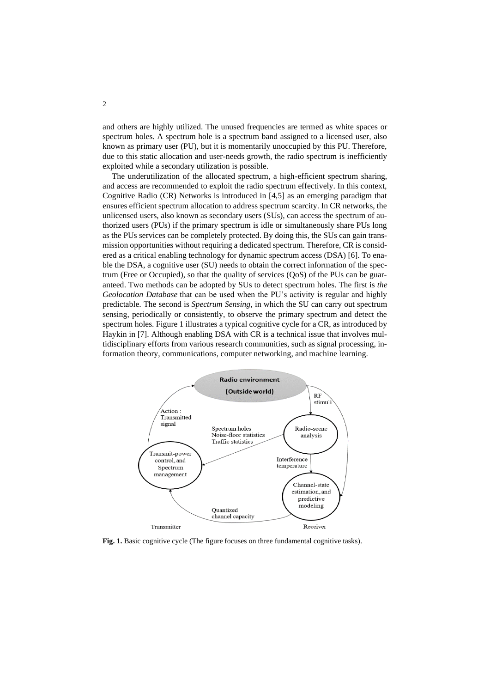and others are highly utilized. The unused frequencies are termed as white spaces or spectrum holes. A spectrum hole is a spectrum band assigned to a licensed user, also known as primary user (PU), but it is momentarily unoccupied by this PU. Therefore, due to this static allocation and user-needs growth, the radio spectrum is inefficiently exploited while a secondary utilization is possible.

The underutilization of the allocated spectrum, a high-efficient spectrum sharing, and access are recommended to exploit the radio spectrum effectively. In this context, Cognitive Radio (CR) Networks is introduced in [4,5] as an emerging paradigm that ensures efficient spectrum allocation to address spectrum scarcity. In CR networks, the unlicensed users, also known as secondary users (SUs), can access the spectrum of authorized users (PUs) if the primary spectrum is idle or simultaneously share PUs long as the PUs services can be completely protected. By doing this, the SUs can gain transmission opportunities without requiring a dedicated spectrum. Therefore, CR is considered as a critical enabling technology for dynamic spectrum access (DSA) [6]. To enable the DSA, a cognitive user (SU) needs to obtain the correct information of the spectrum (Free or Occupied), so that the quality of services (QoS) of the PUs can be guaranteed. Two methods can be adopted by SUs to detect spectrum holes. The first is *the Geolocation Database* that can be used when the PU's activity is regular and highly predictable. The second is *Spectrum Sensing*, in which the SU can carry out spectrum sensing, periodically or consistently, to observe the primary spectrum and detect the spectrum holes. Figure 1 illustrates a typical cognitive cycle for a CR, as introduced by Haykin in [7]. Although enabling DSA with CR is a technical issue that involves multidisciplinary efforts from various research communities, such as signal processing, information theory, communications, computer networking, and machine learning.



**Fig. 1.** Basic cognitive cycle (The figure focuses on three fundamental cognitive tasks).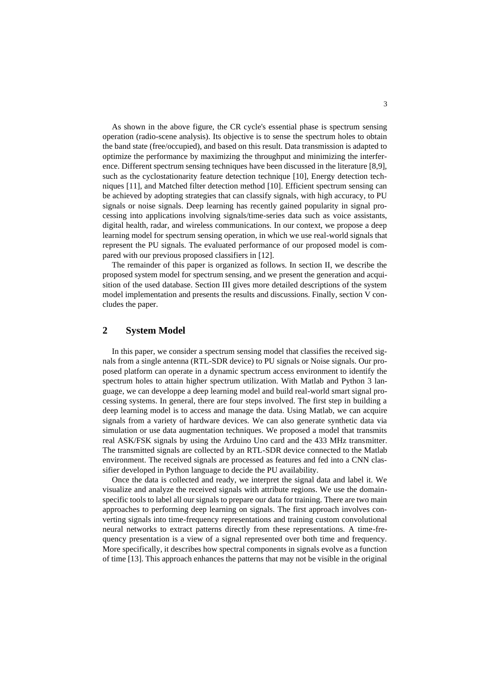As shown in the above figure, the CR cycle's essential phase is spectrum sensing operation (radio-scene analysis). Its objective is to sense the spectrum holes to obtain the band state (free/occupied), and based on this result. Data transmission is adapted to optimize the performance by maximizing the throughput and minimizing the interference. Different spectrum sensing techniques have been discussed in the literature [8,9], such as the cyclostationarity feature detection technique [10], Energy detection techniques [11], and Matched filter detection method [10]. Efficient spectrum sensing can be achieved by adopting strategies that can classify signals, with high accuracy, to PU signals or noise signals. Deep learning has recently gained popularity in signal processing into applications involving signals/time-series data such as voice assistants, digital health, radar, and wireless communications. In our context, we propose a deep learning model for spectrum sensing operation, in which we use real-world signals that represent the PU signals. The evaluated performance of our proposed model is compared with our previous proposed classifiers in [12].

The remainder of this paper is organized as follows. In section II, we describe the proposed system model for spectrum sensing, and we present the generation and acquisition of the used database. Section III gives more detailed descriptions of the system model implementation and presents the results and discussions. Finally, section V concludes the paper.

# **2 System Model**

In this paper, we consider a spectrum sensing model that classifies the received signals from a single antenna (RTL-SDR device) to PU signals or Noise signals. Our proposed platform can operate in a dynamic spectrum access environment to identify the spectrum holes to attain higher spectrum utilization. With Matlab and Python 3 language, we can developpe a deep learning model and build real-world smart signal processing systems. In general, there are four steps involved. The first step in building a deep learning model is to access and manage the data. Using Matlab, we can acquire signals from a variety of hardware devices. We can also generate synthetic data via simulation or use data augmentation techniques. We proposed a model that transmits real ASK/FSK signals by using the Arduino Uno card and the 433 MHz transmitter. The transmitted signals are collected by an RTL-SDR device connected to the Matlab environment. The received signals are processed as features and fed into a CNN classifier developed in Python language to decide the PU availability.

Once the data is collected and ready, we interpret the signal data and label it. We visualize and analyze the received signals with attribute regions. We use the domainspecific tools to label all our signals to prepare our data for training. There are two main approaches to performing deep learning on signals. The first approach involves converting signals into time-frequency representations and training custom convolutional neural networks to extract patterns directly from these representations. A time-frequency presentation is a view of a signal represented over both time and frequency. More specifically, it describes how spectral components in signals evolve as a function of time [13]. This approach enhances the patterns that may not be visible in the original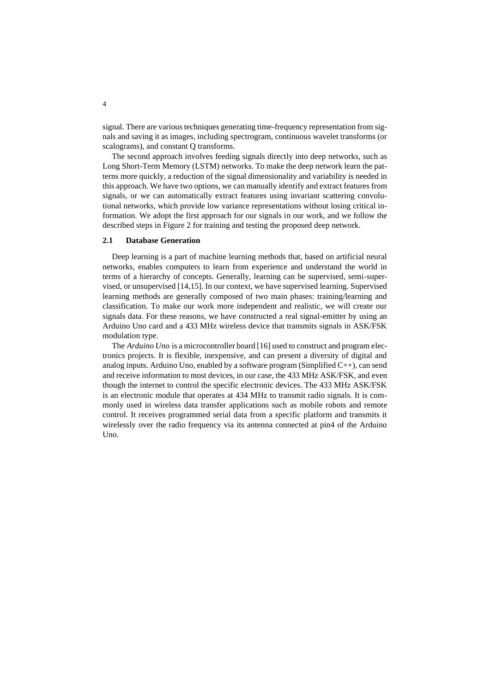signal. There are various techniques generating time-frequency representation from signals and saving it as images, including spectrogram, continuous wavelet transforms (or scalograms), and constant Q transforms.

The second approach involves feeding signals directly into deep networks, such as Long Short-Term Memory (LSTM) networks. To make the deep network learn the patterns more quickly, a reduction of the signal dimensionality and variability is needed in this approach. We have two options, we can manually identify and extract features from signals, or we can automatically extract features using invariant scattering convolutional networks, which provide low variance representations without losing critical information. We adopt the first approach for our signals in our work, and we follow the described steps in Figure 2 for training and testing the proposed deep network.

#### **2.1 Database Generation**

Deep learning is a part of machine learning methods that, based on artificial neural networks, enables computers to learn from experience and understand the world in terms of a hierarchy of concepts. Generally, learning can be supervised, semi-supervised, or unsupervised [14,15]. In our context, we have supervised learning. Supervised learning methods are generally composed of two main phases: training/learning and classification. To make our work more independent and realistic, we will create our signals data. For these reasons, we have constructed a real signal-emitter by using an Arduino Uno card and a 433 MHz wireless device that transmits signals in ASK/FSK modulation type.

The *Arduino Uno* is a microcontroller board [16] used to construct and program electronics projects. It is flexible, inexpensive, and can present a diversity of digital and analog inputs. Arduino Uno, enabled by a software program (Simplified C++), can send and receive information to most devices, in our case, the 433 MHz ASK/FSK, and even though the internet to control the specific electronic devices. The 433 MHz ASK/FSK is an electronic module that operates at 434 MHz to transmit radio signals. It is commonly used in wireless data transfer applications such as mobile robots and remote control. It receives programmed serial data from a specific platform and transmits it wirelessly over the radio frequency via its antenna connected at pin4 of the Arduino  $\overline{U}$ no.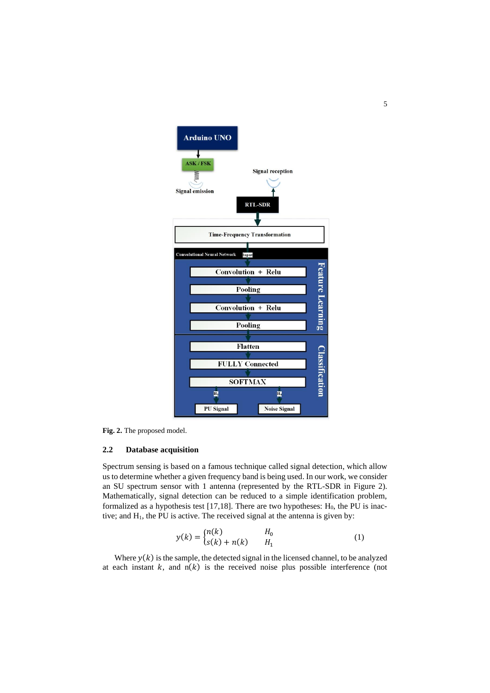

**Fig. 2.** The proposed model.

### **2.2 Database acquisition**

Spectrum sensing is based on a famous technique called signal detection, which allow us to determine whether a given frequency band is being used. In our work, we consider an SU spectrum sensor with 1 antenna (represented by the RTL-SDR in Figure 2). Mathematically, signal detection can be reduced to a simple identification problem, formalized as a hypothesis test  $[17,18]$ . There are two hypotheses:  $H_0$ , the PU is inactive; and H1, the PU is active. The received signal at the antenna is given by:

$$
y(k) = \begin{cases} n(k) & H_0 \\ s(k) + n(k) & H_1 \end{cases}
$$
 (1)

Where  $y(k)$  is the sample, the detected signal in the licensed channel, to be analyzed at each instant  $k$ , and  $n(k)$  is the received noise plus possible interference (not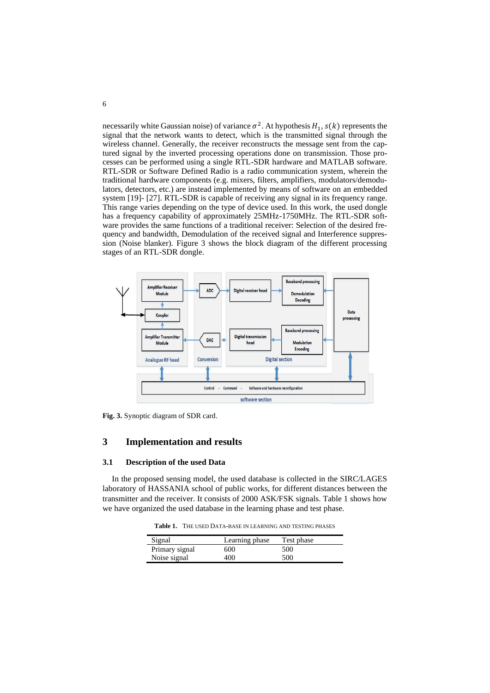necessarily white Gaussian noise) of variance  $\sigma^2$ . At hypothesis  $H_1$ ,  $s(k)$  represents the signal that the network wants to detect, which is the transmitted signal through the wireless channel. Generally, the receiver reconstructs the message sent from the captured signal by the inverted processing operations done on transmission. Those processes can be performed using a single RTL-SDR hardware and MATLAB software. RTL-SDR or Software Defined Radio is a radio communication system, wherein the traditional hardware components (e.g. mixers, filters, amplifiers, modulators/demodulators, detectors, etc.) are instead implemented by means of software on an embedded system [19]- [27]. RTL-SDR is capable of receiving any signal in its frequency range. This range varies depending on the type of device used. In this work, the used dongle has a frequency capability of approximately 25MHz-1750MHz. The RTL-SDR software provides the same functions of a traditional receiver: Selection of the desired frequency and bandwidth, Demodulation of the received signal and Interference suppression (Noise blanker). Figure 3 shows the block diagram of the different processing stages of an RTL-SDR dongle.



**Fig. 3.** Synoptic diagram of SDR card.

## **3 Implementation and results**

#### **3.1 Description of the used Data**

In the proposed sensing model, the used database is collected in the SIRC/LAGES laboratory of HASSANIA school of public works, for different distances between the transmitter and the receiver. It consists of 2000 ASK/FSK signals. Table 1 shows how we have organized the used database in the learning phase and test phase.

**Table 1.** THE USED DATA-BASE IN LEARNING AND TESTING PHASES

| Signal         | Learning phase | Test phase |
|----------------|----------------|------------|
| Primary signal | 600            | 500        |
| Noise signal   | 400            | 500        |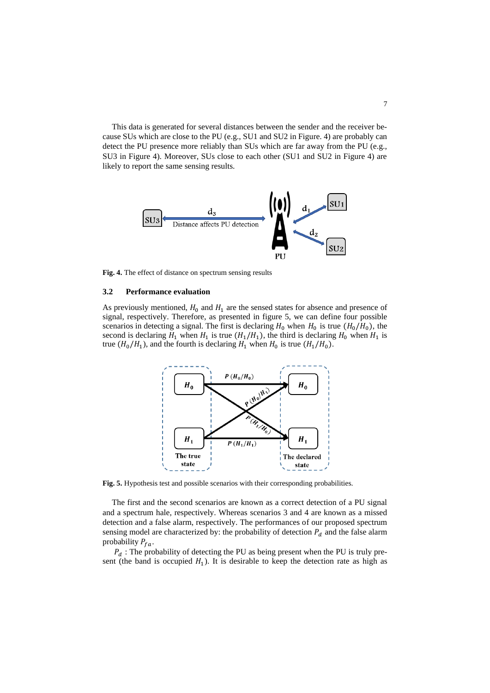This data is generated for several distances between the sender and the receiver because SUs which are close to the PU (e.g., SU1 and SU2 in Figure. 4) are probably can detect the PU presence more reliably than SUs which are far away from the PU (e.g., SU3 in Figure 4). Moreover, SUs close to each other (SU1 and SU2 in Figure 4) are likely to report the same sensing results.



**Fig. 4.** The effect of distance on spectrum sensing results

#### **3.2 Performance evaluation**

As previously mentioned,  $H_0$  and  $H_1$  are the sensed states for absence and presence of signal, respectively. Therefore, as presented in figure 5, we can define four possible scenarios in detecting a signal. The first is declaring  $H_0$  when  $H_0$  is true  $(H_0/H_0)$ , the second is declaring  $H_1$  when  $H_1$  is true  $(H_1/H_1)$ , the third is declaring  $H_0$  when  $H_1$  is true  $(H_0/H_1)$ , and the fourth is declaring  $H_1$  when  $H_0$  is true  $(H_1/H_0)$ .



**Fig. 5.** Hypothesis test and possible scenarios with their corresponding probabilities.

The first and the second scenarios are known as a correct detection of a PU signal and a spectrum hale, respectively. Whereas scenarios 3 and 4 are known as a missed detection and a false alarm, respectively. The performances of our proposed spectrum sensing model are characterized by: the probability of detection  $P_d$  and the false alarm probability  $P_{fa}$ .

 $P_d$ : The probability of detecting the PU as being present when the PU is truly present (the band is occupied  $H_1$ ). It is desirable to keep the detection rate as high as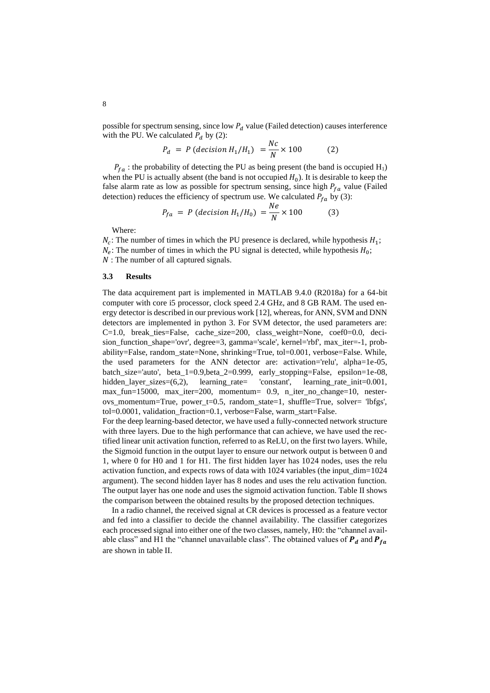possible for spectrum sensing, since low  $P_d$  value (Failed detection) causes interference with the PU. We calculated  $P_d$  by (2):

$$
P_d = P \ (decision \ H_1/H_1) = \frac{Nc}{N} \times 100 \tag{2}
$$

 $P_{fa}$ : the probability of detecting the PU as being present (the band is occupied H<sub>1</sub>) when the PU is actually absent (the band is not occupied  $H_0$ ). It is desirable to keep the false alarm rate as low as possible for spectrum sensing, since high  $P_{fa}$  value (Failed detection) reduces the efficiency of spectrum use. We calculated  $P_{fa}$  by (3):

$$
P_{fa} = P (decision H_1/H_0) = \frac{Ne}{N} \times 100
$$
 (3)

Where:

 $N_c$ : The number of times in which the PU presence is declared, while hypothesis  $H_1$ ;  $N_e$ : The number of times in which the PU signal is detected, while hypothesis  $H_0$ ; N: The number of all captured signals.

#### **3.3 Results**

The data acquirement part is implemented in MATLAB 9.4.0 (R2018a) for a 64-bit computer with core i5 processor, clock speed 2.4 GHz, and 8 GB RAM. The used energy detector is described in our previous work [12], whereas, for ANN, SVM and DNN detectors are implemented in python 3. For SVM detector, the used parameters are: C=1.0, break ties=False, cache size=200, class weight=None, coef0=0.0, decision\_function\_shape='ovr', degree=3, gamma='scale', kernel='rbf', max\_iter=-1, probability=False, random\_state=None, shrinking=True, tol=0.001, verbose=False. While, the used parameters for the ANN detector are: activation='relu', alpha=1e-05, batch\_size='auto', beta\_1=0.9,beta\_2=0.999, early\_stopping=False, epsilon=1e-08, hidden\_layer\_sizes=(6,2), learning\_rate= 'constant', learning\_rate\_init=0.001, max\_fun=15000, max\_iter=200, momentum= 0.9, n\_iter\_no\_change=10, nesterovs momentum=True, power t=0.5, random state=1, shuffle=True, solver= 'lbfgs', tol=0.0001, validation fraction=0.1, verbose=False, warm\_start=False.

For the deep learning-based detector, we have used a fully-connected network structure with three layers. Due to the high performance that can achieve, we have used the rectified linear unit activation function, referred to as ReLU, on the first two layers. While, the Sigmoid function in the output layer to ensure our network output is between 0 and 1, where 0 for H0 and 1 for H1. The first hidden layer has 1024 nodes, uses the relu activation function, and expects rows of data with 1024 variables (the input\_dim=1024 argument). The second hidden layer has 8 nodes and uses the relu activation function. The output layer has one node and uses the sigmoid activation function. Table II shows the comparison between the obtained results by the proposed detection techniques.

In a radio channel, the received signal at CR devices is processed as a feature vector and fed into a classifier to decide the channel availability. The classifier categorizes each processed signal into either one of the two classes, namely, H0: the "channel available class" and H1 the "channel unavailable class". The obtained values of  $P_d$  and  $P_{fa}$ are shown in table II.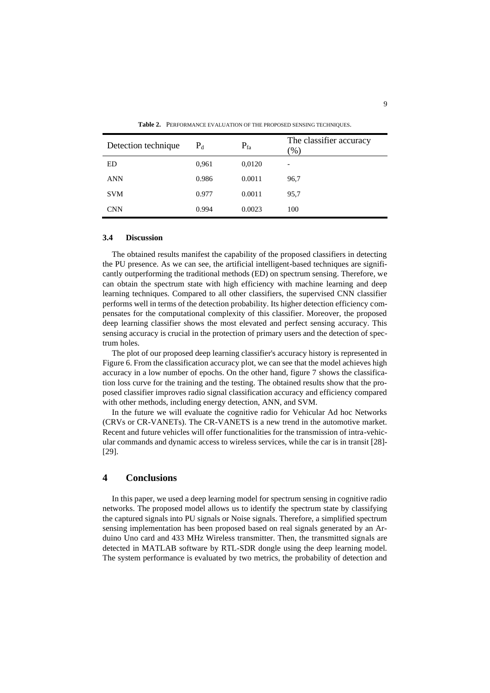| Detection technique | $P_d$ | $P_{fa}$ | The classifier accuracy<br>$(\% )$ |
|---------------------|-------|----------|------------------------------------|
| ED                  | 0,961 | 0,0120   |                                    |
| <b>ANN</b>          | 0.986 | 0.0011   | 96,7                               |
| <b>SVM</b>          | 0.977 | 0.0011   | 95,7                               |
| <b>CNN</b>          | 0.994 | 0.0023   | 100                                |

**Table 2.** PERFORMANCE EVALUATION OF THE PROPOSED SENSING TECHNIQUES.

#### **3.4 Discussion**

The obtained results manifest the capability of the proposed classifiers in detecting the PU presence. As we can see, the artificial intelligent-based techniques are significantly outperforming the traditional methods (ED) on spectrum sensing. Therefore, we can obtain the spectrum state with high efficiency with machine learning and deep learning techniques. Compared to all other classifiers, the supervised CNN classifier performs well in terms of the detection probability. Its higher detection efficiency compensates for the computational complexity of this classifier. Moreover, the proposed deep learning classifier shows the most elevated and perfect sensing accuracy. This sensing accuracy is crucial in the protection of primary users and the detection of spectrum holes.

The plot of our proposed deep learning classifier's accuracy history is represented in Figure 6. From the classification accuracy plot, we can see that the model achieves high accuracy in a low number of epochs. On the other hand, figure 7 shows the classification loss curve for the training and the testing. The obtained results show that the proposed classifier improves radio signal classification accuracy and efficiency compared with other methods, including energy detection, ANN, and SVM.

In the future we will evaluate the cognitive radio for Vehicular Ad hoc Networks (CRVs or CR-VANETs). The CR-VANETS is a new trend in the automotive market. Recent and future vehicles will offer functionalities for the transmission of intra-vehicular commands and dynamic access to wireless services, while the car is in transit [28]- [29].

### **4 Conclusions**

In this paper, we used a deep learning model for spectrum sensing in cognitive radio networks. The proposed model allows us to identify the spectrum state by classifying the captured signals into PU signals or Noise signals. Therefore, a simplified spectrum sensing implementation has been proposed based on real signals generated by an Arduino Uno card and 433 MHz Wireless transmitter. Then, the transmitted signals are detected in MATLAB software by RTL-SDR dongle using the deep learning model. The system performance is evaluated by two metrics, the probability of detection and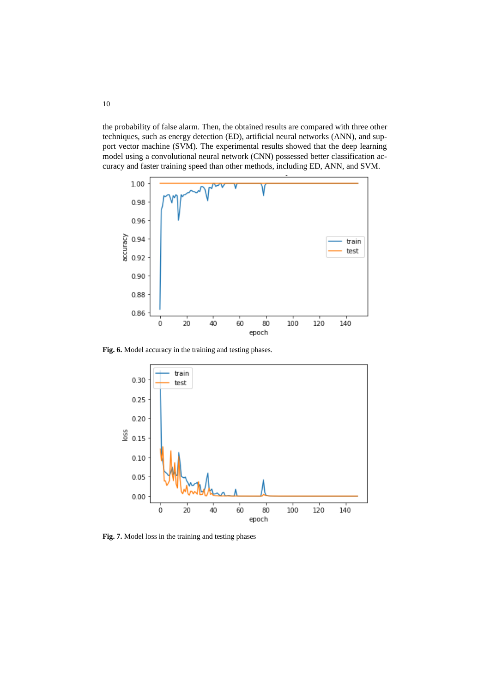the probability of false alarm. Then, the obtained results are compared with three other techniques, such as energy detection (ED), artificial neural networks (ANN), and support vector machine (SVM). The experimental results showed that the deep learning model using a convolutional neural network (CNN) possessed better classification accuracy and faster training speed than other methods, including ED, ANN, and SVM.



**Fig. 6.** Model accuracy in the training and testing phases.



**Fig. 7.** Model loss in the training and testing phases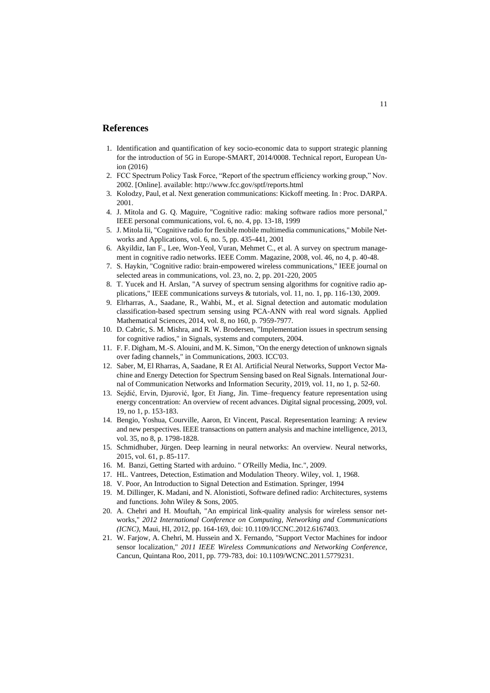## **References**

- 1. Identification and quantification of key socio-economic data to support strategic planning for the introduction of 5G in Europe-SMART, 2014/0008. Technical report, European Union (2016)
- 2. FCC Spectrum Policy Task Force, "Report of the spectrum efficiency working group," Nov. 2002. [Online]. available[: http://www.fcc.gov/sptf/reports.html](http://www.fcc.gov/sptf/reports.html)
- 3. Kolodzy, Paul, et al. Next generation communications: Kickoff meeting. In : Proc. DARPA. 2001.
- 4. J. Mitola and G. Q. Maguire, "Cognitive radio: making software radios more personal," IEEE personal communications, vol. 6, no. 4, pp. 13-18, 1999
- 5. J. Mitola Iii, "Cognitive radio for flexible mobile multimedia communications," Mobile Networks and Applications, vol. 6, no. 5, pp. 435-441, 2001
- 6. Akyildiz, Ian F., Lee, Won-Yeol, Vuran, Mehmet C., et al. A survey on spectrum management in cognitive radio networks. IEEE Comm. Magazine, 2008, vol. 46, no 4, p. 40-48.
- 7. S. Haykin, "Cognitive radio: brain-empowered wireless communications," IEEE journal on selected areas in communications, vol. 23, no. 2, pp. 201-220, 2005
- 8. T. Yucek and H. Arslan, "A survey of spectrum sensing algorithms for cognitive radio applications," IEEE communications surveys & tutorials, vol. 11, no. 1, pp. 116-130, 2009.
- 9. Elrharras, A., Saadane, R., Wahbi, M., et al. Signal detection and automatic modulation classification-based spectrum sensing using PCA-ANN with real word signals. Applied Mathematical Sciences, 2014, vol. 8, no 160, p. 7959-7977.
- 10. D. Cabric, S. M. Mishra, and R. W. Brodersen, "Implementation issues in spectrum sensing for cognitive radios," in Signals, systems and computers, 2004.
- 11. F. F. Digham, M.-S. Alouini, and M. K. Simon, "On the energy detection of unknown signals over fading channels," in Communications, 2003. ICC'03.
- 12. Saber, M, El Rharras, A, Saadane, R Et Al. Artificial Neural Networks, Support Vector Machine and Energy Detection for Spectrum Sensing based on Real Signals. International Journal of Communication Networks and Information Security, 2019, vol. 11, no 1, p. 52-60.
- 13. Sejdić, Ervin, Djurović, Igor, Et Jiang, Jin. Time–frequency feature representation using energy concentration: An overview of recent advances. Digital signal processing, 2009, vol. 19, no 1, p. 153-183.
- 14. Bengio, Yoshua, Courville, Aaron, Et Vincent, Pascal. Representation learning: A review and new perspectives. IEEE transactions on pattern analysis and machine intelligence, 2013, vol. 35, no 8, p. 1798-1828.
- 15. Schmidhuber, Jürgen. Deep learning in neural networks: An overview. Neural networks, 2015, vol. 61, p. 85-117.
- 16. M. Banzi, Getting Started with arduino. " O'Reilly Media, Inc.", 2009.
- 17. HL. Vantrees, Detection, Estimation and Modulation Theory. Wiley, vol. 1, 1968.
- 18. V. Poor, An Introduction to Signal Detection and Estimation. Springer, 1994
- 19. M. Dillinger, K. Madani, and N. Alonistioti, Software defined radio: Architectures, systems and functions. John Wiley & Sons, 2005.
- 20. A. Chehri and H. Mouftah, "An empirical link-quality analysis for wireless sensor networks," *2012 International Conference on Computing, Networking and Communications (ICNC)*, Maui, HI, 2012, pp. 164-169, doi: 10.1109/ICCNC.2012.6167403.
- 21. W. Farjow, A. Chehri, M. Hussein and X. Fernando, "Support Vector Machines for indoor sensor localization," *2011 IEEE Wireless Communications and Networking Conference*, Cancun, Quintana Roo, 2011, pp. 779-783, doi: 10.1109/WCNC.2011.5779231.